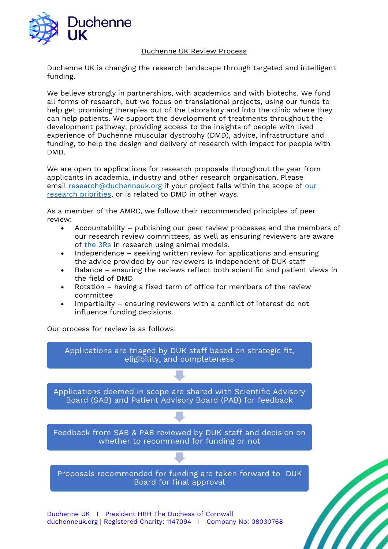

## **Duchenne UK Review Process**

Duchenne UK is changing the research landscape through targeted and intelligent funding.

We believe strongly in partnerships, with academics and with biotechs. We fund all forms of research, but we focus on translational projects, using our funds to help get promising therapies out of the laboratory and into the clinic where they can help patients. We support the development of treatments throughout the development pathway, providing access to the insights of people with lived experience of Duchenne muscular dystrophy (DMD), advice, infrastructure and funding, to help the design and delivery of research with impact for people with DMD.

We are open to applications for research proposals throughout the year from applicants in academia, industry and other research organisation. Please email [research@duchenneuk.org](mailto:research@duchenneuk.org) if y[our](https://duchenneuk.org/our-research/) project falls within the scope of our research [priorities,](https://duchenneuk.org/our-research/) or is related to DMD in other ways.

As a member of the AMRC, we follow their recommended principles of peer review:

- Accountability publishing our peer review processes and the members of our research review committees, as well as ensuring reviewers are aware of [the 3Rs](https://www.nc3rs.org.uk/the-3rs) in research using animal models.
- Independence seeking written review for applications and ensuring the advice provided by our reviewers is independent of DUK staff
- Balance ensuring the reviews reflect both scientific and patient views in the field of DMD
- Rotation having a fixed term of office for members of the review committee
- Impartiality ensuring reviewers with a conflict of interest do not influence funding decisions.

Our process for review is as follows:



Duchenne UK I President HRH The Duchess of Cornwall duchenneuk.org | Registered Charity: 1147094 I Company No: 08030768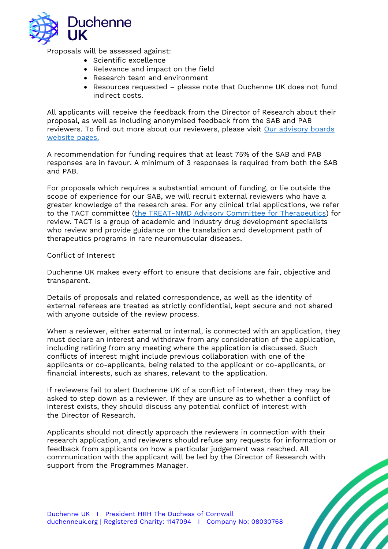

Proposals will be assessed against:

- Scientific excellence
- Relevance and impact on the field
- Research team and environment
- Resources requested please note that Duchenne UK does not fund indirect costs.

All applicants will receive the feedback from the Director of Research about their proposal, as well as including anonymised feedback from the SAB and PAB reviewers. To find out more about our reviewers, please visit [Our advisory boards](http://duchenneuk.org/our-advisory-board/) [website pages.](http://duchenneuk.org/our-advisory-board/)

A recommendation for funding requires that at least 75% of the SAB and PAB responses are in favour. A minimum of 3 responses is required from both the SAB and PAB.

For proposals which requires a substantial amount of funding, or lie outside the scope of experience for our SAB, we will recruit external reviewers who have a greater knowledge of the research area. For any clinical trial applications, we refer to the TACT committee [\(the TREAT-NMD Advisory Committee for](https://treat-nmd.org/tact-treat-nmd-advisory-committee-for-therapeutics/) Therapeutics) for review. TACT is a group of academic and industry drug development specialists who review and provide guidance on the translation and development path of therapeutics programs in rare neuromuscular diseases.

## **Conflict of Interest**

Duchenne UK makes every effort to ensure that decisions are fair, objective and transparent.

Details of proposals and related correspondence, as well as the identity of external referees are treated as strictly confidential, kept secure and not shared with anyone outside of the review process.

When a reviewer, either external or internal, is connected with an application, they must declare an interest and withdraw from any consideration of the application, including retiring from any meeting where the application is discussed. Such conflicts of interest might include previous collaboration with one of the applicants or co-applicants, being related to the applicant or co-applicants, or financial interests, such as shares, relevant to the application.

If reviewers fail to alert Duchenne UK of a conflict of interest, then they may be asked to step down as a reviewer. If they are unsure as to whether a conflict of interest exists, they should discuss any potential conflict of interest with the Director of Research.

Applicants should not directly approach the reviewers in connection with their research application, and reviewers should refuse any requests for information or feedback from applicants on how a particular judgement was reached. All communication with the applicant will be led by the Director of Research with support from the Programmes Manager.